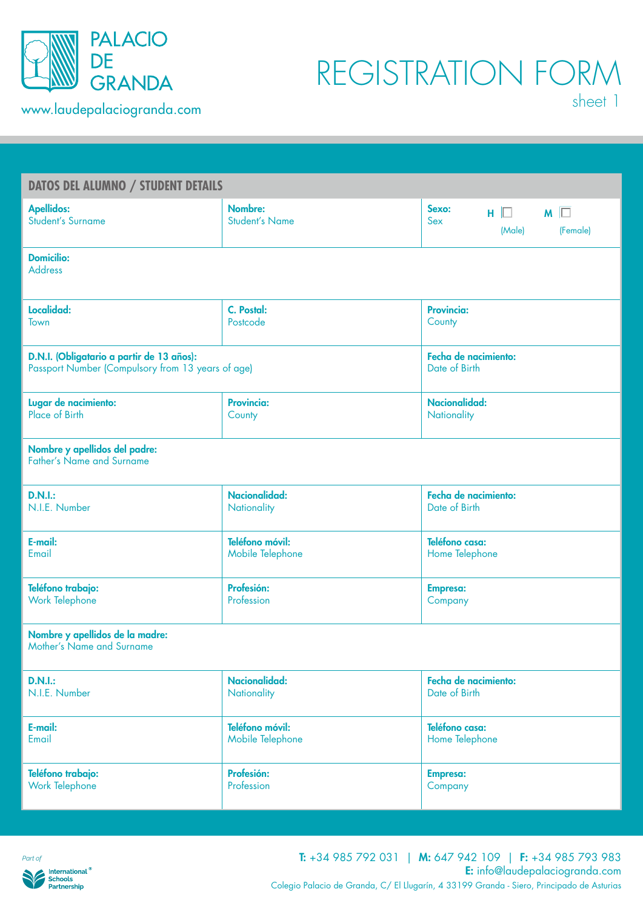

| <b>DATOS DEL ALUMNO / STUDENT DETAILS</b>                         |                                  |                                                         |  |  |  |  |  |
|-------------------------------------------------------------------|----------------------------------|---------------------------------------------------------|--|--|--|--|--|
| <b>Apellidos:</b><br><b>Student's Surname</b>                     | Nombre:<br><b>Student's Name</b> | Sexo:<br>$H \Box$ $M \Box$<br>Sex<br>(Male)<br>(Female) |  |  |  |  |  |
| <b>Domicilio:</b><br><b>Address</b>                               |                                  |                                                         |  |  |  |  |  |
| Localidad:                                                        | C. Postal:                       | <b>Provincia:</b>                                       |  |  |  |  |  |
| Town                                                              | Postcode                         | County                                                  |  |  |  |  |  |
| D.N.I. (Obligatario a partir de 13 años):                         | Fecha de nacimiento:             |                                                         |  |  |  |  |  |
| Passport Number (Compulsory from 13 years of age)                 | Date of Birth                    |                                                         |  |  |  |  |  |
| Lugar de nacimiento:                                              | <b>Provincia:</b>                | <b>Nacionalidad:</b>                                    |  |  |  |  |  |
| Place of Birth                                                    | County                           | Nationality                                             |  |  |  |  |  |
| Nombre y apellidos del padre:<br><b>Father's Name and Surname</b> |                                  |                                                         |  |  |  |  |  |
| <b>D.N.I.:</b>                                                    | Nacionalidad:                    | Fecha de nacimiento:                                    |  |  |  |  |  |
| N.I.E. Number                                                     | Nationality                      | Date of Birth                                           |  |  |  |  |  |
| E-mail:                                                           | Teléfono móvil:                  | Teléfono casa:                                          |  |  |  |  |  |
| Email                                                             | Mobile Telephone                 | Home Telephone                                          |  |  |  |  |  |
| Teléfono trabajo:                                                 | Profesión:                       | <b>Empresa:</b>                                         |  |  |  |  |  |
| Work Telephone                                                    | Profession                       | Company                                                 |  |  |  |  |  |
| Nombre y apellidos de la madre:<br>Mother's Name and Surname      |                                  |                                                         |  |  |  |  |  |
| <b>D.N.I.:</b>                                                    | Nacionalidad:                    | Fecha de nacimiento:                                    |  |  |  |  |  |
| N.I.E. Number                                                     | Nationality                      | Date of Birth                                           |  |  |  |  |  |
| E-mail:                                                           | Teléfono móvil:                  | Teléfono casa:                                          |  |  |  |  |  |
| Email                                                             | Mobile Telephone                 | Home Telephone                                          |  |  |  |  |  |
| Teléfono trabajo:                                                 | Profesión:                       | <b>Empresa:</b>                                         |  |  |  |  |  |
| Work Telephone                                                    | Profession                       | Company                                                 |  |  |  |  |  |
|                                                                   |                                  |                                                         |  |  |  |  |  |

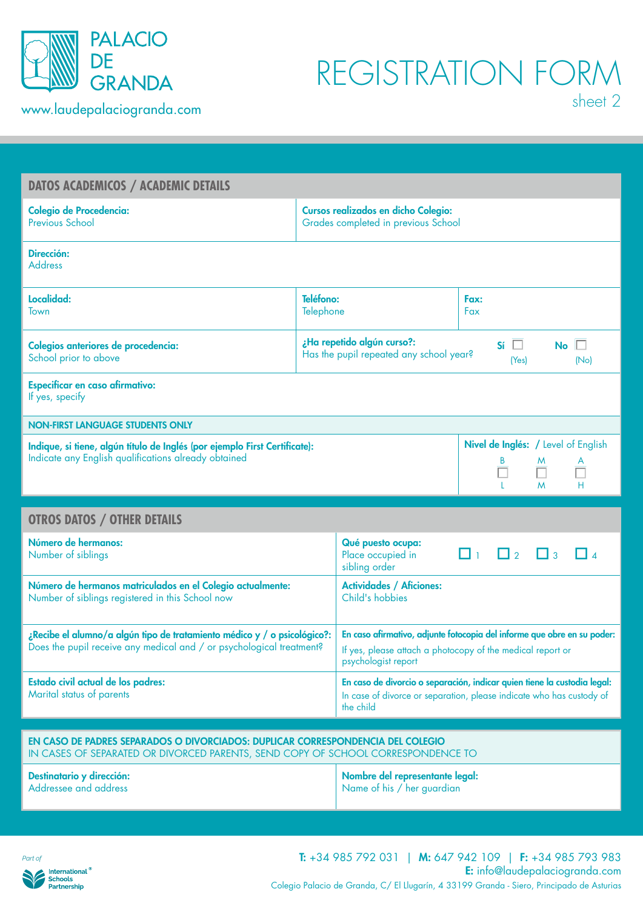

## REGISTRATION FORM

| <b>DATOS ACADEMICOS / ACADEMIC DETAILS</b>                                                                                                                          |                        |                                                                                   |                                                                                                                                                  |  |  |  |
|---------------------------------------------------------------------------------------------------------------------------------------------------------------------|------------------------|-----------------------------------------------------------------------------------|--------------------------------------------------------------------------------------------------------------------------------------------------|--|--|--|
| <b>Colegio de Procedencia:</b><br><b>Previous School</b>                                                                                                            |                        |                                                                                   | <b>Cursos realizados en dicho Colegio:</b><br>Grades completed in previous School                                                                |  |  |  |
| Dirección:<br><b>Address</b>                                                                                                                                        |                        |                                                                                   |                                                                                                                                                  |  |  |  |
| Localidad:<br><b>Town</b>                                                                                                                                           | Teléfono:<br>Telephone |                                                                                   | Fax:<br>Fax                                                                                                                                      |  |  |  |
| Colegios anteriores de procedencia:<br>School prior to above                                                                                                        |                        | ¿Ha repetido algún curso?:<br>Has the pupil repeated any school year?             | $Si \ \Box$<br>$No \Box$<br>(Yes)<br>(No)                                                                                                        |  |  |  |
| <b>Especificar en caso afirmativo:</b><br>If yes, specify                                                                                                           |                        |                                                                                   |                                                                                                                                                  |  |  |  |
| <b>NON-FIRST LANGUAGE STUDENTS ONLY</b>                                                                                                                             |                        |                                                                                   |                                                                                                                                                  |  |  |  |
| Indique, si tiene, algún título de Inglés (por ejemplo First Certificate):<br>Indicate any English qualifications already obtained                                  |                        |                                                                                   | Nivel de Inglés: / Level of English<br>M<br>A<br>L.<br>M<br>н                                                                                    |  |  |  |
| <b>OTROS DATOS / OTHER DETAILS</b>                                                                                                                                  |                        |                                                                                   |                                                                                                                                                  |  |  |  |
|                                                                                                                                                                     |                        |                                                                                   |                                                                                                                                                  |  |  |  |
| Número de hermanos:<br>Number of siblings                                                                                                                           |                        | Qué puesto ocupa:<br>Place occupied in<br>sibling order                           | $\Box$<br>$\Box$ 3<br>$\Box$ 2                                                                                                                   |  |  |  |
| Número de hermanos matriculados en el Colegio actualmente:<br>Number of siblings registered in this School now                                                      |                        | <b>Actividades / Aficiones:</b><br>Child's hobbies                                |                                                                                                                                                  |  |  |  |
| ¿Recibe el alumno/a algún tipo de tratamiento médico y / o psicológico?:<br>Does the pupil receive any medical and / or psychological treatment?                    |                        | If yes, please attach a photocopy of the medical report or<br>psychologist report | En caso afirmativo, adjunte fotocopia del informe que obre en su poder:                                                                          |  |  |  |
| Estado civil actual de los padres:<br>Marital status of parents                                                                                                     |                        | the child                                                                         | En caso de divorcio o separación, indicar quien tiene la custodia legal:<br>In case of divorce or separation, please indicate who has custody of |  |  |  |
|                                                                                                                                                                     |                        |                                                                                   |                                                                                                                                                  |  |  |  |
| EN CASO DE PADRES SEPARADOS O DIVORCIADOS: DUPLICAR CORRESPONDENCIA DEL COLEGIO<br>IN CASES OF SEPARATED OR DIVORCED PARENTS, SEND COPY OF SCHOOL CORRESPONDENCE TO |                        |                                                                                   |                                                                                                                                                  |  |  |  |
| Destinatario y dirección:<br>Addressee and address                                                                                                                  |                        | Nombre del representante legal:<br>Name of his / her guardian                     |                                                                                                                                                  |  |  |  |